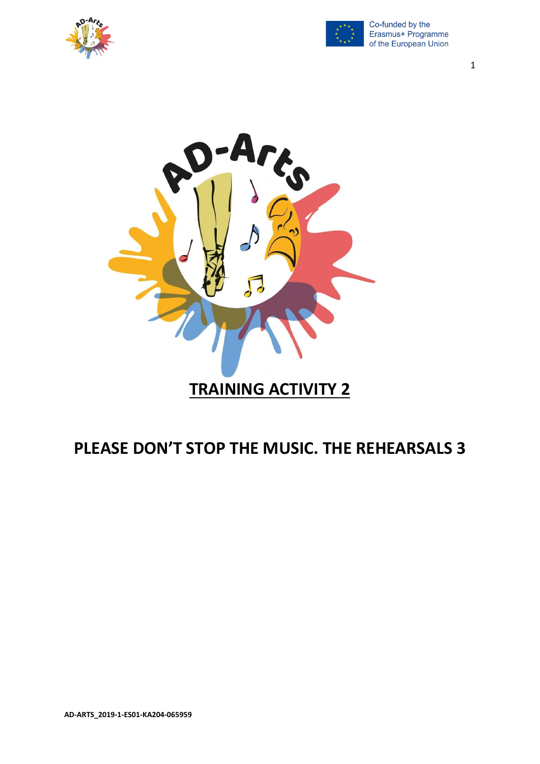



Co-funded by the Erasmus+ Programme of the European Union

1



# **PLEASE DON'T STOP THE MUSIC. THE REHEARSALS 3**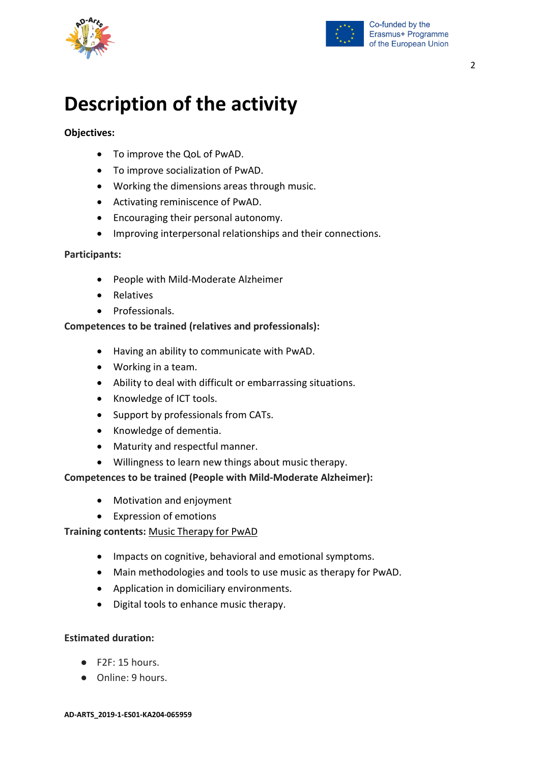



# **Description of the activity**

#### **Objectives:**

- To improve the QoL of PwAD.
- To improve socialization of PwAD.
- Working the dimensions areas through music.
- Activating reminiscence of PwAD.
- Encouraging their personal autonomy.
- Improving interpersonal relationships and their connections.

#### **Participants:**

- People with Mild-Moderate Alzheimer
- Relatives
- Professionals.

#### **Competences to be trained (relatives and professionals):**

- Having an ability to communicate with PwAD.
- Working in a team.
- Ability to deal with difficult or embarrassing situations.
- Knowledge of ICT tools.
- Support by professionals from CATs.
- Knowledge of dementia.
- Maturity and respectful manner.
- Willingness to learn new things about music therapy.

#### **Competences to be trained (People with Mild-Moderate Alzheimer):**

- Motivation and enjoyment
- Expression of emotions

#### **Training contents:** Music Therapy for PwAD

- Impacts on cognitive, behavioral and emotional symptoms.
- Main methodologies and tools to use music as therapy for PwAD.
- Application in domiciliary environments.
- Digital tools to enhance music therapy.

#### **Estimated duration:**

- $\bullet$  F<sub>2F</sub>: 15 hours.
- Online: 9 hours.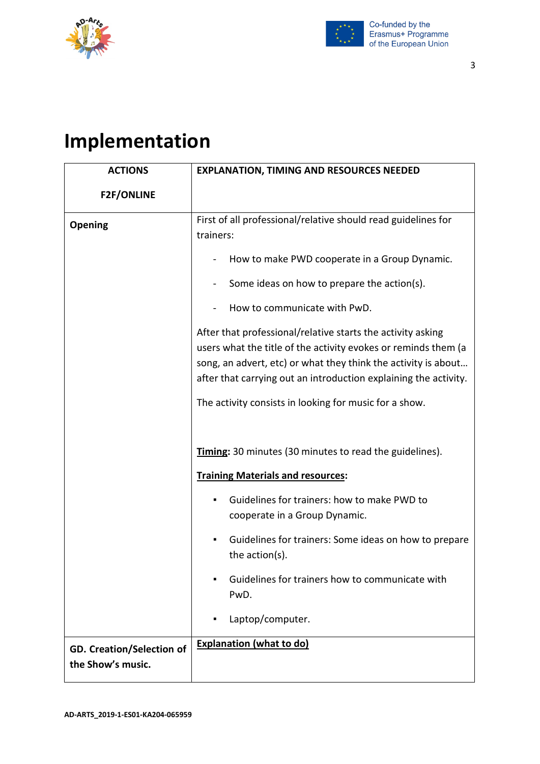



# **Implementation**

| <b>ACTIONS</b>                                        | <b>EXPLANATION, TIMING AND RESOURCES NEEDED</b>                                                                                                                                                                                                                                                                               |
|-------------------------------------------------------|-------------------------------------------------------------------------------------------------------------------------------------------------------------------------------------------------------------------------------------------------------------------------------------------------------------------------------|
| <b>F2F/ONLINE</b>                                     |                                                                                                                                                                                                                                                                                                                               |
| <b>Opening</b>                                        | First of all professional/relative should read guidelines for<br>trainers:                                                                                                                                                                                                                                                    |
|                                                       | How to make PWD cooperate in a Group Dynamic.                                                                                                                                                                                                                                                                                 |
|                                                       | Some ideas on how to prepare the action(s).                                                                                                                                                                                                                                                                                   |
|                                                       | How to communicate with PwD.                                                                                                                                                                                                                                                                                                  |
|                                                       | After that professional/relative starts the activity asking<br>users what the title of the activity evokes or reminds them (a<br>song, an advert, etc) or what they think the activity is about<br>after that carrying out an introduction explaining the activity.<br>The activity consists in looking for music for a show. |
|                                                       | <b>Timing:</b> 30 minutes (30 minutes to read the guidelines).                                                                                                                                                                                                                                                                |
|                                                       | <b>Training Materials and resources:</b>                                                                                                                                                                                                                                                                                      |
|                                                       | Guidelines for trainers: how to make PWD to<br>cooperate in a Group Dynamic.                                                                                                                                                                                                                                                  |
|                                                       | Guidelines for trainers: Some ideas on how to prepare<br>٠<br>the action(s).                                                                                                                                                                                                                                                  |
|                                                       | Guidelines for trainers how to communicate with<br>٠<br>PwD.                                                                                                                                                                                                                                                                  |
|                                                       | Laptop/computer.<br>٠                                                                                                                                                                                                                                                                                                         |
| <b>GD. Creation/Selection of</b><br>the Show's music. | <b>Explanation (what to do)</b>                                                                                                                                                                                                                                                                                               |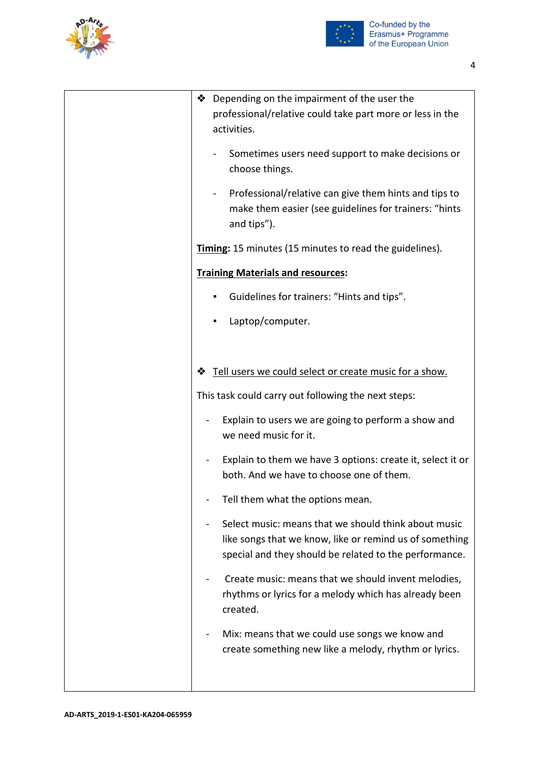



| ❖ Depending on the impairment of the user the                                                                                                                             |
|---------------------------------------------------------------------------------------------------------------------------------------------------------------------------|
| professional/relative could take part more or less in the<br>activities.                                                                                                  |
| Sometimes users need support to make decisions or<br>choose things.                                                                                                       |
| Professional/relative can give them hints and tips to<br>make them easier (see guidelines for trainers: "hints<br>and tips").                                             |
| <b>Timing:</b> 15 minutes (15 minutes to read the guidelines).                                                                                                            |
| <b>Training Materials and resources:</b>                                                                                                                                  |
| Guidelines for trainers: "Hints and tips".                                                                                                                                |
| Laptop/computer.                                                                                                                                                          |
|                                                                                                                                                                           |
| Tell users we could select or create music for a show.<br>❖                                                                                                               |
| This task could carry out following the next steps:                                                                                                                       |
| Explain to users we are going to perform a show and<br>we need music for it.                                                                                              |
| Explain to them we have 3 options: create it, select it or<br>both. And we have to choose one of them.                                                                    |
| Tell them what the options mean.                                                                                                                                          |
| Select music: means that we should think about music<br>like songs that we know, like or remind us of something<br>special and they should be related to the performance. |
| Create music: means that we should invent melodies,<br>rhythms or lyrics for a melody which has already been<br>created.                                                  |
| Mix: means that we could use songs we know and<br>create something new like a melody, rhythm or lyrics.                                                                   |
|                                                                                                                                                                           |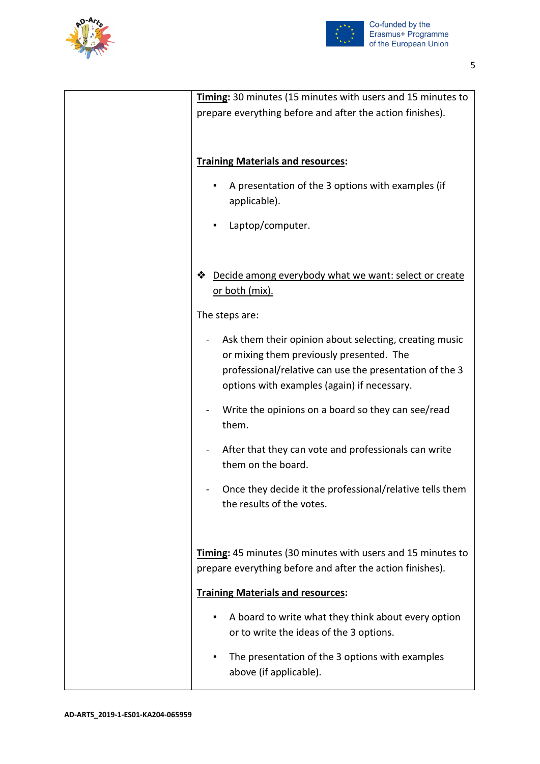



5

| Timing: 30 minutes (15 minutes with users and 15 minutes to<br>prepare everything before and after the action finishes).                                                                                     |
|--------------------------------------------------------------------------------------------------------------------------------------------------------------------------------------------------------------|
| <b>Training Materials and resources:</b>                                                                                                                                                                     |
| A presentation of the 3 options with examples (if<br>applicable).                                                                                                                                            |
| Laptop/computer.                                                                                                                                                                                             |
| Decide among everybody what we want: select or create<br>❖<br><u>or both (mix).</u>                                                                                                                          |
| The steps are:                                                                                                                                                                                               |
| Ask them their opinion about selecting, creating music<br>or mixing them previously presented. The<br>professional/relative can use the presentation of the 3<br>options with examples (again) if necessary. |
| Write the opinions on a board so they can see/read<br>them.                                                                                                                                                  |
| After that they can vote and professionals can write<br>them on the board.                                                                                                                                   |
| Once they decide it the professional/relative tells them<br>the results of the votes.                                                                                                                        |
| Timing: 45 minutes (30 minutes with users and 15 minutes to<br>prepare everything before and after the action finishes).                                                                                     |
| <b>Training Materials and resources:</b>                                                                                                                                                                     |
| A board to write what they think about every option<br>٠<br>or to write the ideas of the 3 options.                                                                                                          |
| The presentation of the 3 options with examples<br>above (if applicable).                                                                                                                                    |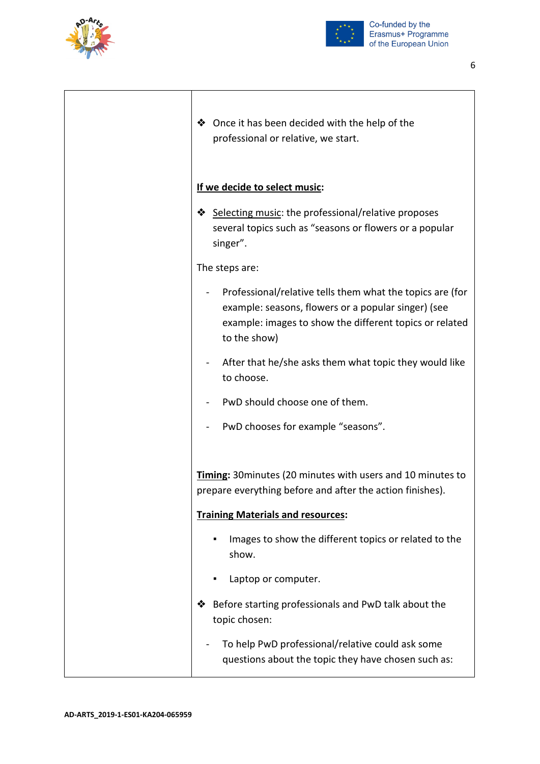



| ♦ Once it has been decided with the help of the<br>professional or relative, we start.                                                                                                      |
|---------------------------------------------------------------------------------------------------------------------------------------------------------------------------------------------|
| If we decide to select music:                                                                                                                                                               |
| ♦ Selecting music: the professional/relative proposes<br>several topics such as "seasons or flowers or a popular<br>singer".                                                                |
| The steps are:                                                                                                                                                                              |
| Professional/relative tells them what the topics are (for<br>example: seasons, flowers or a popular singer) (see<br>example: images to show the different topics or related<br>to the show) |
| After that he/she asks them what topic they would like<br>to choose.                                                                                                                        |
| PwD should choose one of them.                                                                                                                                                              |
| PwD chooses for example "seasons".                                                                                                                                                          |
| Timing: 30 minutes (20 minutes with users and 10 minutes to<br>prepare everything before and after the action finishes).                                                                    |
| <b>Training Materials and resources:</b>                                                                                                                                                    |
| Images to show the different topics or related to the<br>show.                                                                                                                              |
| Laptop or computer.                                                                                                                                                                         |
| Before starting professionals and PwD talk about the<br>topic chosen:                                                                                                                       |
| To help PwD professional/relative could ask some<br>questions about the topic they have chosen such as:                                                                                     |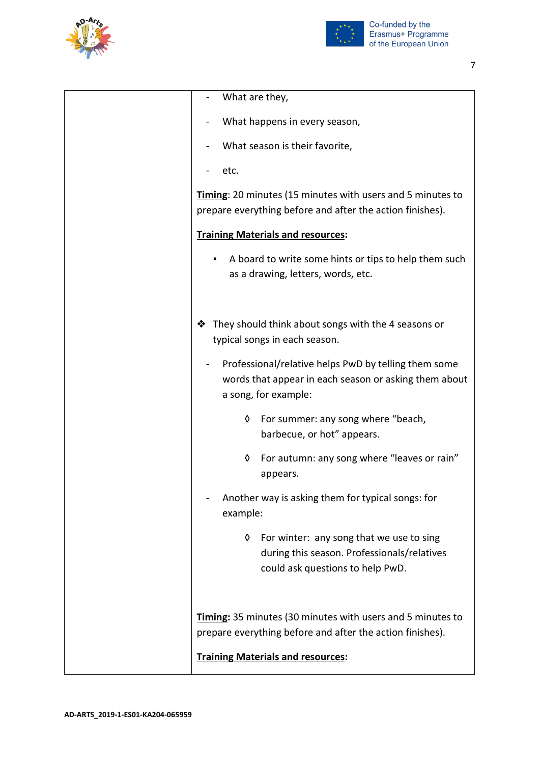



| What are they,                                                                                                                        |
|---------------------------------------------------------------------------------------------------------------------------------------|
| What happens in every season,                                                                                                         |
| What season is their favorite,                                                                                                        |
| etc.                                                                                                                                  |
| Timing: 20 minutes (15 minutes with users and 5 minutes to<br>prepare everything before and after the action finishes).               |
| <b>Training Materials and resources:</b>                                                                                              |
| A board to write some hints or tips to help them such<br>٠<br>as a drawing, letters, words, etc.                                      |
| They should think about songs with the 4 seasons or<br>❖<br>typical songs in each season.                                             |
| Professional/relative helps PwD by telling them some<br>words that appear in each season or asking them about<br>a song, for example: |
| For summer: any song where "beach,<br>♦<br>barbecue, or hot" appears.                                                                 |
| For autumn: any song where "leaves or rain"<br>♦<br>appears.                                                                          |
| Another way is asking them for typical songs: for<br>example:                                                                         |
| For winter: any song that we use to sing<br>♦<br>during this season. Professionals/relatives<br>could ask questions to help PwD.      |
| Timing: 35 minutes (30 minutes with users and 5 minutes to<br>prepare everything before and after the action finishes).               |
| <b>Training Materials and resources:</b>                                                                                              |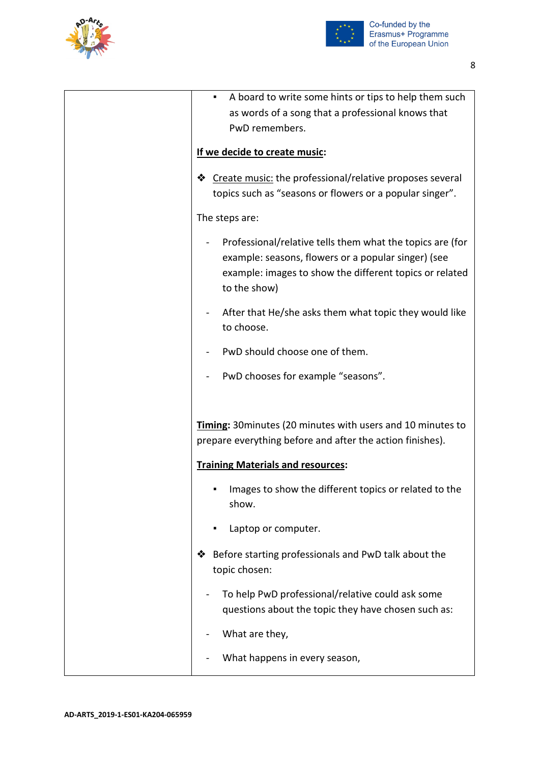



| A board to write some hints or tips to help them such<br>٠                                                                                                                                  |
|---------------------------------------------------------------------------------------------------------------------------------------------------------------------------------------------|
| as words of a song that a professional knows that<br>PwD remembers.                                                                                                                         |
|                                                                                                                                                                                             |
| If we decide to create music:                                                                                                                                                               |
| Create music: the professional/relative proposes several<br>❖<br>topics such as "seasons or flowers or a popular singer".                                                                   |
| The steps are:                                                                                                                                                                              |
| Professional/relative tells them what the topics are (for<br>example: seasons, flowers or a popular singer) (see<br>example: images to show the different topics or related<br>to the show) |
| After that He/she asks them what topic they would like<br>to choose.                                                                                                                        |
| PwD should choose one of them.                                                                                                                                                              |
| PwD chooses for example "seasons".                                                                                                                                                          |
|                                                                                                                                                                                             |
| <b>Timing:</b> 30 minutes (20 minutes with users and 10 minutes to<br>prepare everything before and after the action finishes).                                                             |
| <b>Training Materials and resources:</b>                                                                                                                                                    |
| Images to show the different topics or related to the<br>show.                                                                                                                              |
| Laptop or computer.                                                                                                                                                                         |
| Before starting professionals and PwD talk about the<br>topic chosen:                                                                                                                       |
| To help PwD professional/relative could ask some<br>questions about the topic they have chosen such as:                                                                                     |
| What are they,                                                                                                                                                                              |
| What happens in every season,                                                                                                                                                               |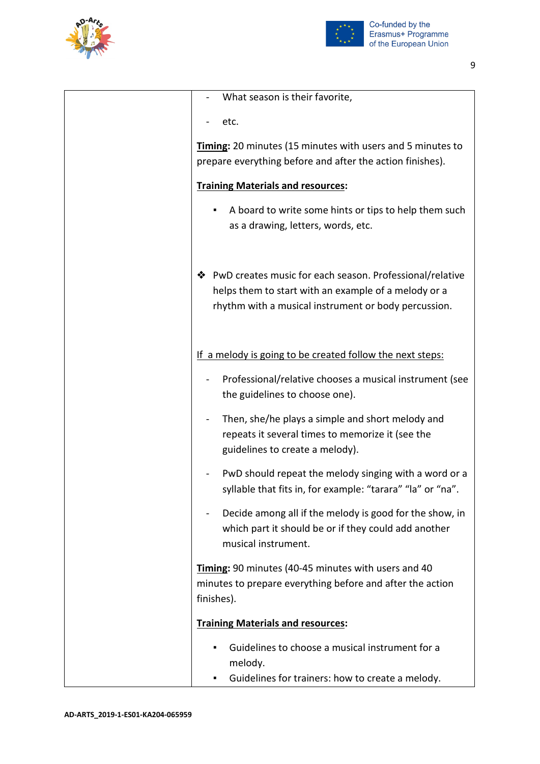



9

| What season is their favorite,                                                                                                                                                |
|-------------------------------------------------------------------------------------------------------------------------------------------------------------------------------|
| etc.                                                                                                                                                                          |
| Timing: 20 minutes (15 minutes with users and 5 minutes to<br>prepare everything before and after the action finishes).                                                       |
| <b>Training Materials and resources:</b>                                                                                                                                      |
| A board to write some hints or tips to help them such<br>٠<br>as a drawing, letters, words, etc.                                                                              |
| PwD creates music for each season. Professional/relative<br>❖<br>helps them to start with an example of a melody or a<br>rhythm with a musical instrument or body percussion. |
| If a melody is going to be created follow the next steps:                                                                                                                     |
| Professional/relative chooses a musical instrument (see<br>the guidelines to choose one).                                                                                     |
| Then, she/he plays a simple and short melody and<br>repeats it several times to memorize it (see the<br>guidelines to create a melody).                                       |
| PwD should repeat the melody singing with a word or a<br>syllable that fits in, for example: "tarara" "la" or "na".                                                           |
| Decide among all if the melody is good for the show, in<br>which part it should be or if they could add another<br>musical instrument.                                        |
| Timing: 90 minutes (40-45 minutes with users and 40<br>minutes to prepare everything before and after the action<br>finishes).                                                |
| <b>Training Materials and resources:</b>                                                                                                                                      |
| Guidelines to choose a musical instrument for a<br>melody.<br>Guidelines for trainers: how to create a melody.<br>٠                                                           |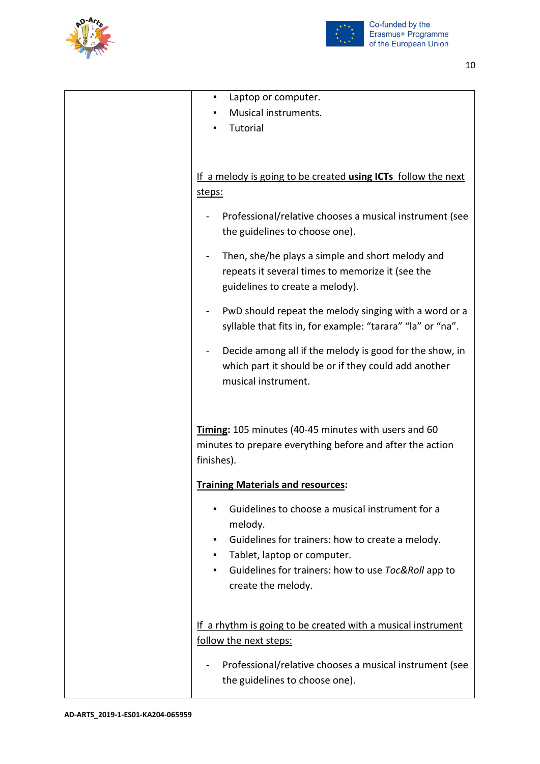



| Laptop or computer.<br>٠                                                                                                                                                                                                                  |
|-------------------------------------------------------------------------------------------------------------------------------------------------------------------------------------------------------------------------------------------|
| Musical instruments.                                                                                                                                                                                                                      |
| Tutorial                                                                                                                                                                                                                                  |
| If a melody is going to be created using ICTs follow the next<br>steps:<br>Professional/relative chooses a musical instrument (see<br>the guidelines to choose one).<br>Then, she/he plays a simple and short melody and                  |
| repeats it several times to memorize it (see the<br>guidelines to create a melody).                                                                                                                                                       |
| PwD should repeat the melody singing with a word or a<br>syllable that fits in, for example: "tarara" "la" or "na".                                                                                                                       |
| Decide among all if the melody is good for the show, in<br>which part it should be or if they could add another<br>musical instrument.                                                                                                    |
| Timing: 105 minutes (40-45 minutes with users and 60<br>minutes to prepare everything before and after the action<br>finishes).                                                                                                           |
| <b>Training Materials and resources:</b>                                                                                                                                                                                                  |
| Guidelines to choose a musical instrument for a<br>melody.<br>Guidelines for trainers: how to create a melody.<br>٠<br>Tablet, laptop or computer.<br>٠<br>Guidelines for trainers: how to use Toc&Roll app to<br>٠<br>create the melody. |
| If a rhythm is going to be created with a musical instrument<br>follow the next steps:                                                                                                                                                    |
| Professional/relative chooses a musical instrument (see<br>the guidelines to choose one).                                                                                                                                                 |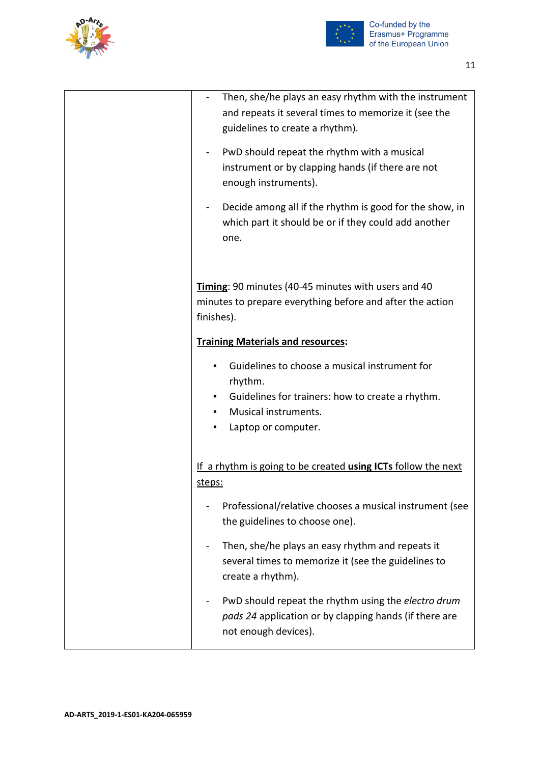



| Then, she/he plays an easy rhythm with the instrument<br>$\qquad \qquad \blacksquare$<br>and repeats it several times to memorize it (see the<br>guidelines to create a rhythm).<br>PwD should repeat the rhythm with a musical<br>instrument or by clapping hands (if there are not<br>enough instruments).<br>Decide among all if the rhythm is good for the show, in<br>which part it should be or if they could add another<br>one. |
|-----------------------------------------------------------------------------------------------------------------------------------------------------------------------------------------------------------------------------------------------------------------------------------------------------------------------------------------------------------------------------------------------------------------------------------------|
| Timing: 90 minutes (40-45 minutes with users and 40<br>minutes to prepare everything before and after the action<br>finishes).                                                                                                                                                                                                                                                                                                          |
| <b>Training Materials and resources:</b>                                                                                                                                                                                                                                                                                                                                                                                                |
| Guidelines to choose a musical instrument for<br>rhythm.<br>Guidelines for trainers: how to create a rhythm.<br>Musical instruments.<br>Laptop or computer.                                                                                                                                                                                                                                                                             |
| If a rhythm is going to be created using ICTs follow the next<br>steps:                                                                                                                                                                                                                                                                                                                                                                 |
| Professional/relative chooses a musical instrument (see<br>the guidelines to choose one).                                                                                                                                                                                                                                                                                                                                               |
| Then, she/he plays an easy rhythm and repeats it<br>$\qquad \qquad \blacksquare$<br>several times to memorize it (see the guidelines to<br>create a rhythm).                                                                                                                                                                                                                                                                            |
| PwD should repeat the rhythm using the electro drum<br>pads 24 application or by clapping hands (if there are<br>not enough devices).                                                                                                                                                                                                                                                                                                   |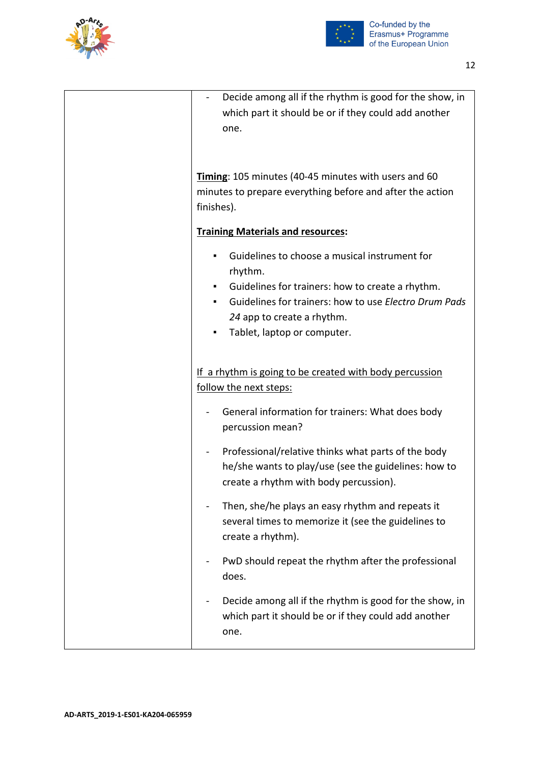



| Decide among all if the rhythm is good for the show, in<br>$\blacksquare$<br>which part it should be or if they could add another<br>one.                                                                                                                                                          |
|----------------------------------------------------------------------------------------------------------------------------------------------------------------------------------------------------------------------------------------------------------------------------------------------------|
| Timing: 105 minutes (40-45 minutes with users and 60<br>minutes to prepare everything before and after the action<br>finishes).                                                                                                                                                                    |
| <b>Training Materials and resources:</b><br>Guidelines to choose a musical instrument for<br>٠<br>rhythm.<br>Guidelines for trainers: how to create a rhythm.<br>٠<br>Guidelines for trainers: how to use Electro Drum Pads<br>٠<br>24 app to create a rhythm.<br>Tablet, laptop or computer.<br>٠ |
| If a rhythm is going to be created with body percussion<br>follow the next steps:<br>General information for trainers: What does body<br>percussion mean?                                                                                                                                          |
| Professional/relative thinks what parts of the body<br>he/she wants to play/use (see the guidelines: how to<br>create a rhythm with body percussion).                                                                                                                                              |
| Then, she/he plays an easy rhythm and repeats it<br>several times to memorize it (see the guidelines to<br>create a rhythm).                                                                                                                                                                       |
| PwD should repeat the rhythm after the professional<br>does.                                                                                                                                                                                                                                       |
| Decide among all if the rhythm is good for the show, in<br>which part it should be or if they could add another<br>one.                                                                                                                                                                            |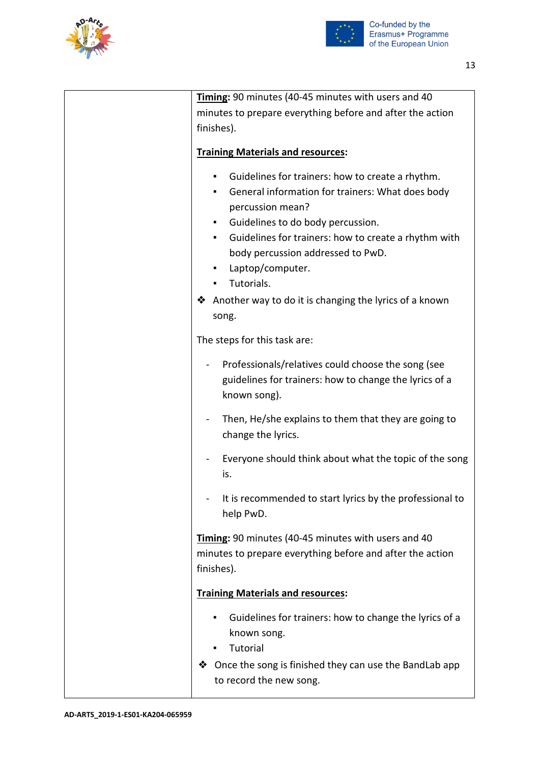



| Timing: 90 minutes (40-45 minutes with users and 40                                                                                                                                                                                                                                                                                                                                                                 |
|---------------------------------------------------------------------------------------------------------------------------------------------------------------------------------------------------------------------------------------------------------------------------------------------------------------------------------------------------------------------------------------------------------------------|
| minutes to prepare everything before and after the action                                                                                                                                                                                                                                                                                                                                                           |
| finishes).                                                                                                                                                                                                                                                                                                                                                                                                          |
| <b>Training Materials and resources:</b>                                                                                                                                                                                                                                                                                                                                                                            |
| Guidelines for trainers: how to create a rhythm.<br>٠<br>General information for trainers: What does body<br>٠.<br>percussion mean?<br>Guidelines to do body percussion.<br>$\blacksquare$<br>Guidelines for trainers: how to create a rhythm with<br>$\blacksquare$<br>body percussion addressed to PwD.<br>Laptop/computer.<br>٠<br>Tutorials.<br>Another way to do it is changing the lyrics of a known<br>song. |
| The steps for this task are:                                                                                                                                                                                                                                                                                                                                                                                        |
| Professionals/relatives could choose the song (see<br>$\blacksquare$<br>guidelines for trainers: how to change the lyrics of a<br>known song).                                                                                                                                                                                                                                                                      |
| Then, He/she explains to them that they are going to<br>change the lyrics.                                                                                                                                                                                                                                                                                                                                          |
| Everyone should think about what the topic of the song<br>is.                                                                                                                                                                                                                                                                                                                                                       |
| It is recommended to start lyrics by the professional to<br>help PwD.                                                                                                                                                                                                                                                                                                                                               |
| Timing: 90 minutes (40-45 minutes with users and 40<br>minutes to prepare everything before and after the action<br>finishes).                                                                                                                                                                                                                                                                                      |
| <b>Training Materials and resources:</b>                                                                                                                                                                                                                                                                                                                                                                            |
| Guidelines for trainers: how to change the lyrics of a<br>known song.<br>Tutorial<br>❖ Once the song is finished they can use the BandLab app<br>to record the new song.                                                                                                                                                                                                                                            |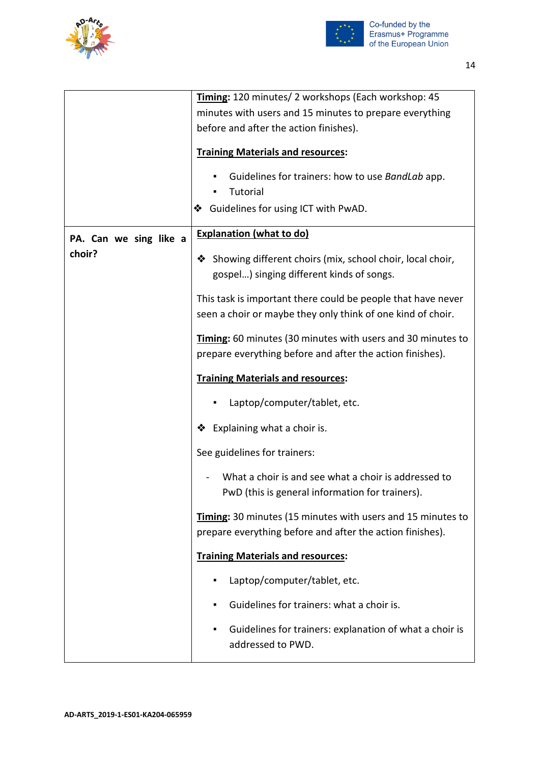



|                        | Timing: 120 minutes/ 2 workshops (Each workshop: 45                                                                         |
|------------------------|-----------------------------------------------------------------------------------------------------------------------------|
|                        | minutes with users and 15 minutes to prepare everything                                                                     |
|                        | before and after the action finishes).                                                                                      |
|                        | <b>Training Materials and resources:</b>                                                                                    |
|                        |                                                                                                                             |
|                        | Guidelines for trainers: how to use BandLab app.                                                                            |
|                        | Tutorial                                                                                                                    |
|                        | Guidelines for using ICT with PwAD.<br>❖                                                                                    |
| PA. Can we sing like a | <b>Explanation (what to do)</b>                                                                                             |
| choir?                 | ❖ Showing different choirs (mix, school choir, local choir,<br>gospel) singing different kinds of songs.                    |
|                        | This task is important there could be people that have never<br>seen a choir or maybe they only think of one kind of choir. |
|                        | Timing: 60 minutes (30 minutes with users and 30 minutes to<br>prepare everything before and after the action finishes).    |
|                        | <b>Training Materials and resources:</b>                                                                                    |
|                        | Laptop/computer/tablet, etc.                                                                                                |
|                        | Explaining what a choir is.<br>❖                                                                                            |
|                        | See guidelines for trainers:                                                                                                |
|                        | What a choir is and see what a choir is addressed to<br>PwD (this is general information for trainers).                     |
|                        | Timing: 30 minutes (15 minutes with users and 15 minutes to<br>prepare everything before and after the action finishes).    |
|                        | <b>Training Materials and resources:</b>                                                                                    |
|                        | Laptop/computer/tablet, etc.<br>٠                                                                                           |
|                        | Guidelines for trainers: what a choir is.                                                                                   |
|                        | Guidelines for trainers: explanation of what a choir is<br>addressed to PWD.                                                |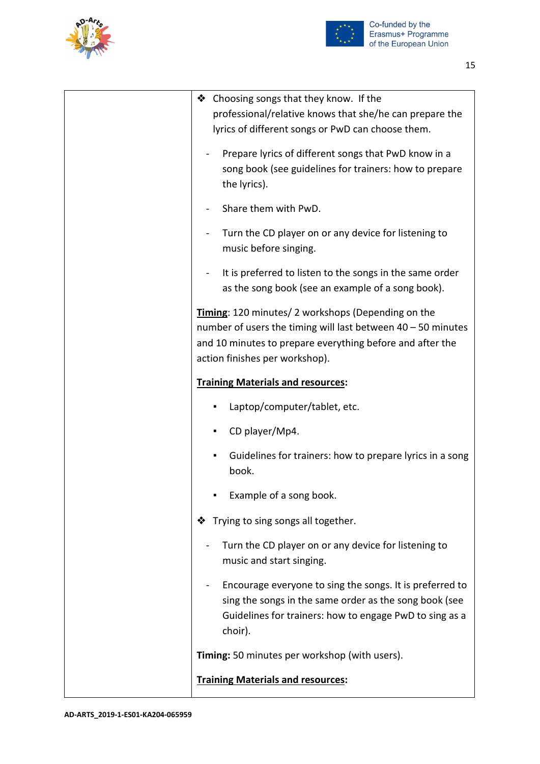



| ❖ Choosing songs that they know. If the<br>professional/relative knows that she/he can prepare the<br>lyrics of different songs or PwD can choose them.                                                             |
|---------------------------------------------------------------------------------------------------------------------------------------------------------------------------------------------------------------------|
| Prepare lyrics of different songs that PwD know in a<br>song book (see guidelines for trainers: how to prepare<br>the lyrics).                                                                                      |
| Share them with PwD.                                                                                                                                                                                                |
| Turn the CD player on or any device for listening to<br>music before singing.                                                                                                                                       |
| It is preferred to listen to the songs in the same order<br>as the song book (see an example of a song book).                                                                                                       |
| Timing: 120 minutes/ 2 workshops (Depending on the<br>number of users the timing will last between $40 - 50$ minutes<br>and 10 minutes to prepare everything before and after the<br>action finishes per workshop). |
| <b>Training Materials and resources:</b>                                                                                                                                                                            |
| Laptop/computer/tablet, etc.                                                                                                                                                                                        |
| CD player/Mp4.<br>٠                                                                                                                                                                                                 |
| Guidelines for trainers: how to prepare lyrics in a song<br>book.                                                                                                                                                   |
| Example of a song book.                                                                                                                                                                                             |
| Trying to sing songs all together.<br>❖                                                                                                                                                                             |
| Turn the CD player on or any device for listening to<br>music and start singing.                                                                                                                                    |
| Encourage everyone to sing the songs. It is preferred to<br>sing the songs in the same order as the song book (see<br>Guidelines for trainers: how to engage PwD to sing as a<br>choir).                            |
| Timing: 50 minutes per workshop (with users).                                                                                                                                                                       |
| <b>Training Materials and resources:</b>                                                                                                                                                                            |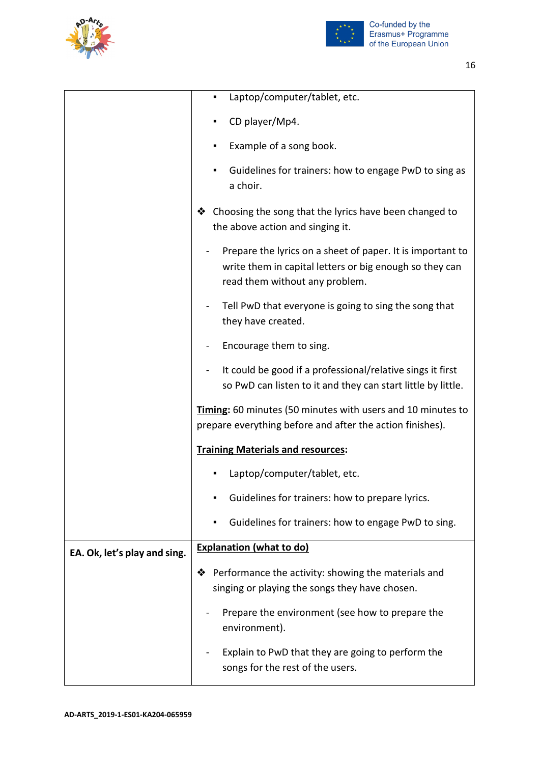



|                              | Laptop/computer/tablet, etc.<br>٠                                                                                                                       |
|------------------------------|---------------------------------------------------------------------------------------------------------------------------------------------------------|
|                              | CD player/Mp4.                                                                                                                                          |
|                              | Example of a song book.                                                                                                                                 |
|                              | Guidelines for trainers: how to engage PwD to sing as<br>a choir.                                                                                       |
|                              | Choosing the song that the lyrics have been changed to<br>❖<br>the above action and singing it.                                                         |
|                              | Prepare the lyrics on a sheet of paper. It is important to<br>write them in capital letters or big enough so they can<br>read them without any problem. |
|                              | Tell PwD that everyone is going to sing the song that<br>they have created.                                                                             |
|                              | Encourage them to sing.                                                                                                                                 |
|                              | It could be good if a professional/relative sings it first<br>so PwD can listen to it and they can start little by little.                              |
|                              | Timing: 60 minutes (50 minutes with users and 10 minutes to<br>prepare everything before and after the action finishes).                                |
|                              | <b>Training Materials and resources:</b>                                                                                                                |
|                              | Laptop/computer/tablet, etc.                                                                                                                            |
|                              | Guidelines for trainers: how to prepare lyrics.                                                                                                         |
|                              | Guidelines for trainers: how to engage PwD to sing.                                                                                                     |
| EA. Ok, let's play and sing. | <b>Explanation (what to do)</b>                                                                                                                         |
|                              | Performance the activity: showing the materials and<br>❖<br>singing or playing the songs they have chosen.                                              |
|                              | Prepare the environment (see how to prepare the<br>environment).                                                                                        |
|                              | Explain to PwD that they are going to perform the<br>songs for the rest of the users.                                                                   |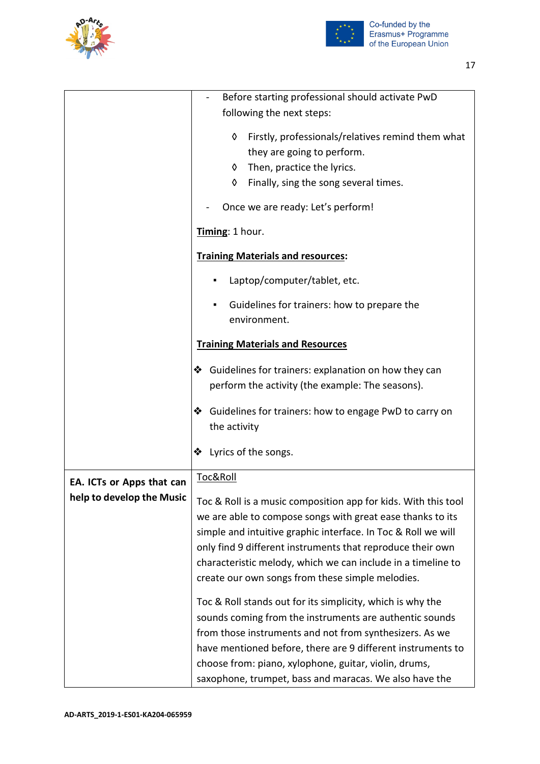



|                           | Before starting professional should activate PwD                                                                                                                                                                                                                                                                                                                                |
|---------------------------|---------------------------------------------------------------------------------------------------------------------------------------------------------------------------------------------------------------------------------------------------------------------------------------------------------------------------------------------------------------------------------|
|                           | following the next steps:                                                                                                                                                                                                                                                                                                                                                       |
|                           | Firstly, professionals/relatives remind them what<br>♦                                                                                                                                                                                                                                                                                                                          |
|                           | they are going to perform.                                                                                                                                                                                                                                                                                                                                                      |
|                           | Then, practice the lyrics.<br>♦                                                                                                                                                                                                                                                                                                                                                 |
|                           | Finally, sing the song several times.<br>♦                                                                                                                                                                                                                                                                                                                                      |
|                           | Once we are ready: Let's perform!                                                                                                                                                                                                                                                                                                                                               |
|                           | Timing: 1 hour.                                                                                                                                                                                                                                                                                                                                                                 |
|                           | <b>Training Materials and resources:</b>                                                                                                                                                                                                                                                                                                                                        |
|                           | Laptop/computer/tablet, etc.                                                                                                                                                                                                                                                                                                                                                    |
|                           | Guidelines for trainers: how to prepare the<br>environment.                                                                                                                                                                                                                                                                                                                     |
|                           | <b>Training Materials and Resources</b>                                                                                                                                                                                                                                                                                                                                         |
|                           | ❖ Guidelines for trainers: explanation on how they can<br>perform the activity (the example: The seasons).                                                                                                                                                                                                                                                                      |
|                           | Guidelines for trainers: how to engage PwD to carry on<br>❖<br>the activity                                                                                                                                                                                                                                                                                                     |
|                           | Lyrics of the songs.<br>❖                                                                                                                                                                                                                                                                                                                                                       |
| EA. ICTs or Apps that can | Toc&Roll                                                                                                                                                                                                                                                                                                                                                                        |
| help to develop the Music | Toc & Roll is a music composition app for kids. With this tool<br>we are able to compose songs with great ease thanks to its<br>simple and intuitive graphic interface. In Toc & Roll we will<br>only find 9 different instruments that reproduce their own<br>characteristic melody, which we can include in a timeline to<br>create our own songs from these simple melodies. |
|                           | Toc & Roll stands out for its simplicity, which is why the<br>sounds coming from the instruments are authentic sounds<br>from those instruments and not from synthesizers. As we<br>have mentioned before, there are 9 different instruments to<br>choose from: piano, xylophone, guitar, violin, drums,<br>saxophone, trumpet, bass and maracas. We also have the              |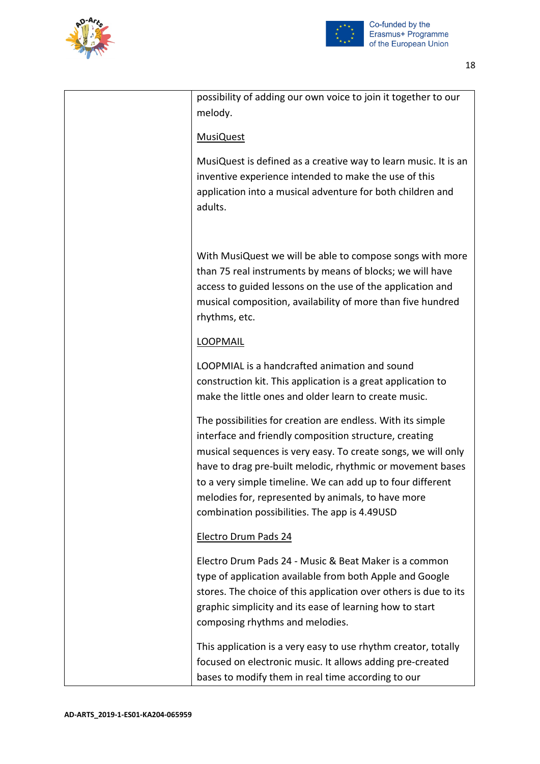



possibility of adding our own voice to join it together to our melody.

### [MusiQuest](https://apps.apple.com/MusiQuest)

MusiQuest is defined as a creative way to learn music. It is an inventive experience intended to make the use of this application into a musical adventure for both children and adults.

With MusiQuest we will be able to compose songs with more than 75 real instruments by means of blocks; we will have access to guided lessons on the use of the application and musical composition, availability of more than five hundred rhythms, etc.

### [LOOPMAIL](https://apps.apple.com/YATATOY)

LOOPMIAL is a handcrafted animation and sound construction kit. This application is a great application to make the little ones and older learn to create music.

The possibilities for creation are endless. With its simple interface and friendly composition structure, creating musical sequences is very easy. To create songs, we will only have to drag pre-built melodic, rhythmic or movement bases to a very simple timeline. We can add up to four different melodies for, represented by animals, to have more combination possibilities. The app is 4.49USD

## [Electro Drum Pads 24](https://play.google.com/store/apps/details?id=com.paullipnyagov.electrodrumpads24)

Electro Drum Pads 24 - Music & Beat Maker is a common type of application available from both Apple and Google stores. The choice of this application over others is due to its graphic simplicity and its ease of learning how to start composing rhythms and melodies.

This application is a very easy to use rhythm creator, totally focused on electronic music. It allows adding pre-created bases to modify them in real time according to our